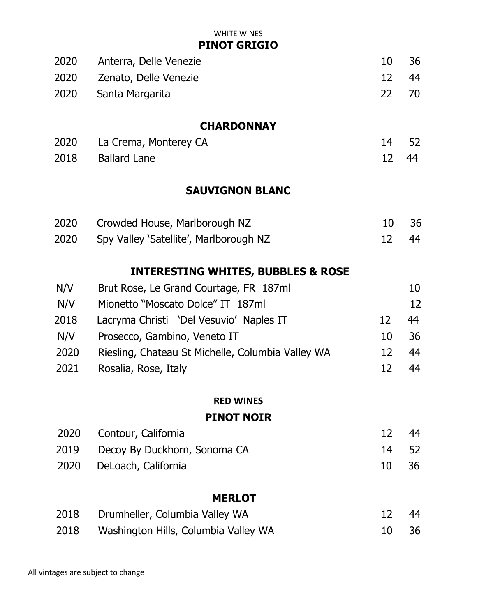WHITE WINES

**PINOT GRIGIO**

| 2020 Anterra, Delle Venezie | 10    | - 36  |
|-----------------------------|-------|-------|
| 2020 Zenato, Delle Venezie  |       | 12 44 |
| 2020 Santa Margarita        | 22 70 |       |

#### **CHARDONNAY**

| 2020 La Crema, Monterey CA |       | 14 52 |
|----------------------------|-------|-------|
| 2018 Ballard Lane          | 12 44 |       |

### **SAUVIGNON BLANC**

| 2020 | Crowded House, Marlborough NZ               | 10 | - 36 |
|------|---------------------------------------------|----|------|
|      | 2020 Spy Valley 'Satellite', Marlborough NZ |    | - 44 |

### **INTERESTING WHITES, BUBBLES & ROSE**

| N/V  | Brut Rose, Le Grand Courtage, FR 187ml            |    | 10 |
|------|---------------------------------------------------|----|----|
| N/V  | Mionetto "Moscato Dolce" IT 187ml                 |    | 12 |
| 2018 | Lacryma Christi 'Del Vesuvio' Naples IT           | 12 | 44 |
| N/V  | Prosecco, Gambino, Veneto IT                      | 10 | 36 |
| 2020 | Riesling, Chateau St Michelle, Columbia Valley WA | 12 | 44 |
| 2021 | Rosalia, Rose, Italy                              |    | 44 |

#### **RED WINES**

#### **PINOT NOIR**

|  | 2020 Contour, California          |       | 44   |
|--|-----------------------------------|-------|------|
|  | 2019 Decoy By Duckhorn, Sonoma CA | 14 52 |      |
|  | 2020 DeLoach, California          | 10    | - 36 |

#### **MERLOT**

| 2018 | Drumheller, Columbia Valley WA       | 12 44 |  |
|------|--------------------------------------|-------|--|
| 2018 | Washington Hills, Columbia Valley WA | 10 36 |  |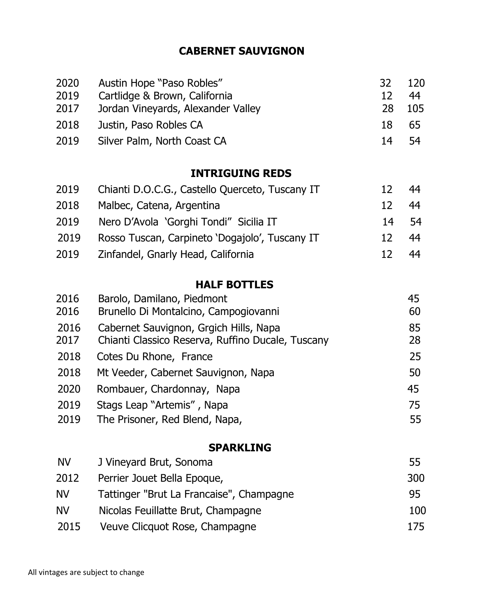### **CABERNET SAUVIGNON**

| 2020 | Austin Hope "Paso Robles"          | -32 I | 120 |
|------|------------------------------------|-------|-----|
| 2019 | Cartlidge & Brown, California      | 12    | 44  |
| 2017 | Jordan Vineyards, Alexander Valley | 28    | 105 |
| 2018 | Justin, Paso Robles CA             | 18    | -65 |
| 2019 | Silver Palm, North Coast CA        | 14    | -54 |

#### **INTRIGUING REDS**

| 2019 | Chianti D.O.C.G., Castello Querceto, Tuscany IT |       | 44 |
|------|-------------------------------------------------|-------|----|
| 2018 | Malbec, Catena, Argentina                       | 12    | 44 |
| 2019 | Nero D'Avola 'Gorghi Tondi" Sicilia IT          | 14 54 |    |
| 2019 | Rosso Tuscan, Carpineto 'Dogajolo', Tuscany IT  | 12.   | 44 |
| 2019 | Zinfandel, Gnarly Head, California              | 17    | 44 |

### **HALF BOTTLES**

| 2016         | Barolo, Damilano, Piedmont                                                                  | 45       |
|--------------|---------------------------------------------------------------------------------------------|----------|
| 2016         | Brunello Di Montalcino, Campogiovanni                                                       | 60       |
| 2016<br>2017 | Cabernet Sauvignon, Grgich Hills, Napa<br>Chianti Classico Reserva, Ruffino Ducale, Tuscany | 85<br>28 |
| 2018         | Cotes Du Rhone, France                                                                      | 25       |
| 2018         | Mt Veeder, Cabernet Sauvignon, Napa                                                         | 50       |
| 2020         | Rombauer, Chardonnay, Napa                                                                  | 45       |
| 2019         | Stags Leap "Artemis", Napa                                                                  | 75       |
| 2019         | The Prisoner, Red Blend, Napa,                                                              | 55       |
|              |                                                                                             |          |

### **SPARKLING**

| <b>NV</b> | J Vineyard Brut, Sonoma                  | 55  |
|-----------|------------------------------------------|-----|
| 2012      | Perrier Jouet Bella Epoque,              | 300 |
| <b>NV</b> | Tattinger "Brut La Francaise", Champagne | 95  |
| <b>NV</b> | Nicolas Feuillatte Brut, Champagne       | 100 |
| 2015      | Veuve Clicquot Rose, Champagne           | 175 |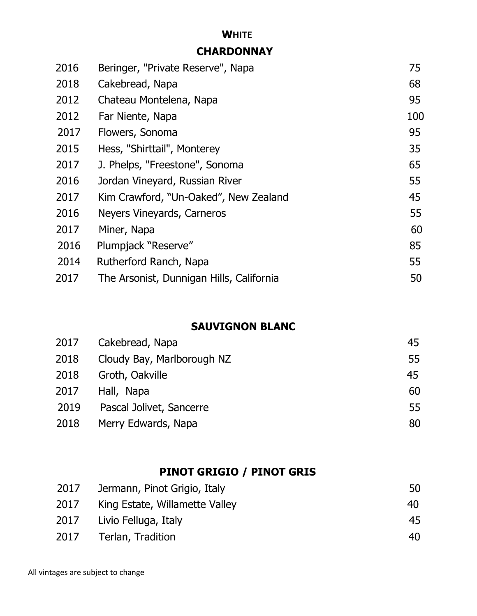# **WHITE**

### **CHARDONNAY**

| 2016 | Beringer, "Private Reserve", Napa        | 75  |
|------|------------------------------------------|-----|
| 2018 | Cakebread, Napa                          | 68  |
| 2012 | Chateau Montelena, Napa                  | 95  |
| 2012 | Far Niente, Napa                         | 100 |
| 2017 | Flowers, Sonoma                          | 95  |
| 2015 | Hess, "Shirttail", Monterey              | 35  |
| 2017 | J. Phelps, "Freestone", Sonoma           | 65  |
| 2016 | Jordan Vineyard, Russian River           | 55  |
| 2017 | Kim Crawford, "Un-Oaked", New Zealand    | 45  |
| 2016 | Neyers Vineyards, Carneros               | 55  |
| 2017 | Miner, Napa                              | 60  |
| 2016 | Plumpjack "Reserve"                      | 85  |
| 2014 | Rutherford Ranch, Napa                   | 55  |
| 2017 | The Arsonist, Dunnigan Hills, California | 50  |

### **SAUVIGNON BLANC**

| 2017 | Cakebread, Napa            | 45 |
|------|----------------------------|----|
| 2018 | Cloudy Bay, Marlborough NZ | 55 |
| 2018 | Groth, Oakville            | 45 |
| 2017 | Hall, Napa                 | 60 |
| 2019 | Pascal Jolivet, Sancerre   | 55 |
| 2018 | Merry Edwards, Napa        | 80 |

### **PINOT GRIGIO / PINOT GRIS**

| 2017 | Jermann, Pinot Grigio, Italy   | 50 |
|------|--------------------------------|----|
| 2017 | King Estate, Willamette Valley | 40 |
| 2017 | Livio Felluga, Italy           | 45 |
| 2017 | Terlan, Tradition              | 40 |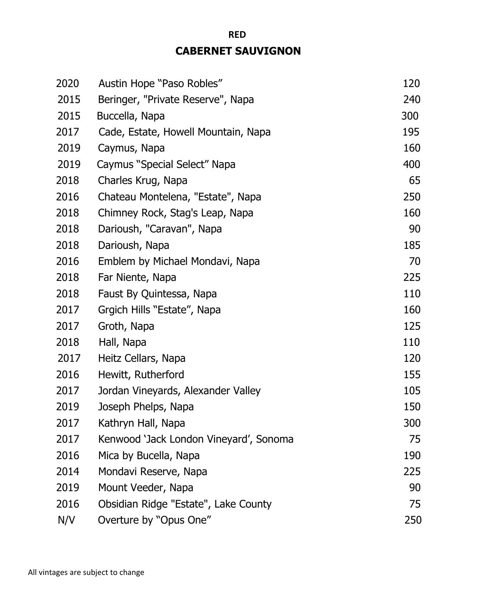### **CABERNET SAUVIGNON**

**RED** 

| 2020 | Austin Hope "Paso Robles"              | 120 |
|------|----------------------------------------|-----|
| 2015 | Beringer, "Private Reserve", Napa      | 240 |
| 2015 | Buccella, Napa                         | 300 |
| 2017 | Cade, Estate, Howell Mountain, Napa    | 195 |
| 2019 | Caymus, Napa                           | 160 |
| 2019 | Caymus "Special Select" Napa           | 400 |
| 2018 | Charles Krug, Napa                     | 65  |
| 2016 | Chateau Montelena, "Estate", Napa      | 250 |
| 2018 | Chimney Rock, Stag's Leap, Napa        | 160 |
| 2018 | Darioush, "Caravan", Napa              | 90  |
| 2018 | Darioush, Napa                         | 185 |
| 2016 | Emblem by Michael Mondavi, Napa        | 70  |
| 2018 | Far Niente, Napa                       | 225 |
| 2018 | Faust By Quintessa, Napa               | 110 |
| 2017 | Grgich Hills "Estate", Napa            | 160 |
| 2017 | Groth, Napa                            | 125 |
| 2018 | Hall, Napa                             | 110 |
| 2017 | Heitz Cellars, Napa                    | 120 |
| 2016 | Hewitt, Rutherford                     | 155 |
| 2017 | Jordan Vineyards, Alexander Valley     | 105 |
| 2019 | Joseph Phelps, Napa                    | 150 |
| 2017 | Kathryn Hall, Napa                     | 300 |
| 2017 | Kenwood 'Jack London Vineyard', Sonoma | 75  |
| 2016 | Mica by Bucella, Napa                  | 190 |
| 2014 | Mondavi Reserve, Napa                  | 225 |
| 2019 | Mount Veeder, Napa                     | 90  |
| 2016 | Obsidian Ridge "Estate", Lake County   | 75  |
| N/V  | Overture by "Opus One"                 | 250 |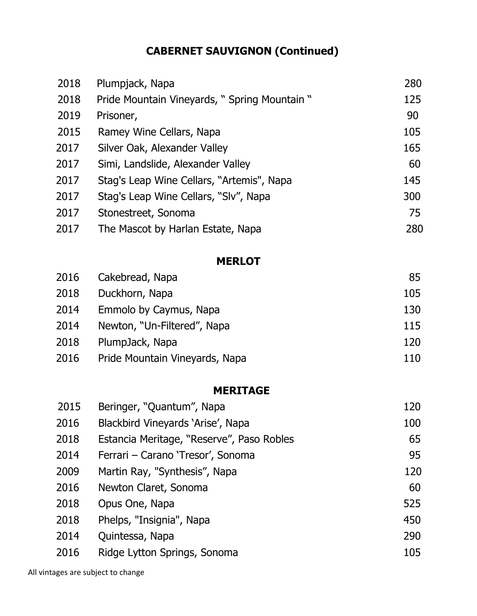## **CABERNET SAUVIGNON (Continued)**

| 2018 | Plumpjack, Napa                              | 280 |
|------|----------------------------------------------|-----|
| 2018 | Pride Mountain Vineyards, "Spring Mountain " | 125 |
| 2019 | Prisoner,                                    | 90  |
| 2015 | Ramey Wine Cellars, Napa                     | 105 |
| 2017 | Silver Oak, Alexander Valley                 | 165 |
| 2017 | Simi, Landslide, Alexander Valley            | 60  |
| 2017 | Stag's Leap Wine Cellars, "Artemis", Napa    | 145 |
| 2017 | Stag's Leap Wine Cellars, "Sly", Napa        | 300 |
| 2017 | Stonestreet, Sonoma                          | 75  |
| 2017 | The Mascot by Harlan Estate, Napa            | 280 |

#### **MERLOT**

| 2016 | Cakebread, Napa                | 85  |
|------|--------------------------------|-----|
| 2018 | Duckhorn, Napa                 | 105 |
| 2014 | Emmolo by Caymus, Napa         | 130 |
| 2014 | Newton, "Un-Filtered", Napa    | 115 |
| 2018 | PlumpJack, Napa                | 120 |
| 2016 | Pride Mountain Vineyards, Napa | 110 |

### **MERITAGE**

| 2015 | Beringer, "Quantum", Napa                 | 120 |
|------|-------------------------------------------|-----|
| 2016 | Blackbird Vineyards 'Arise', Napa         | 100 |
| 2018 | Estancia Meritage, "Reserve", Paso Robles | 65  |
| 2014 | Ferrari - Carano 'Tresor', Sonoma         | 95  |
| 2009 | Martin Ray, "Synthesis", Napa             | 120 |
| 2016 | Newton Claret, Sonoma                     | 60  |
| 2018 | Opus One, Napa                            | 525 |
| 2018 | Phelps, "Insignia", Napa                  | 450 |
| 2014 | Quintessa, Napa                           | 290 |
| 2016 | Ridge Lytton Springs, Sonoma              | 105 |
|      |                                           |     |

All vintages are subject to change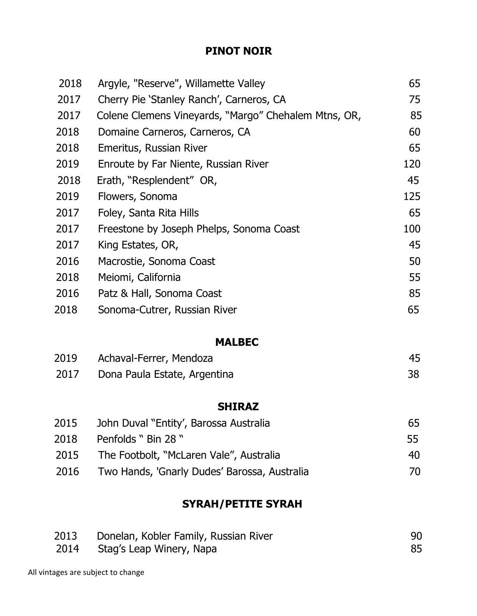### **PINOT NOIR**

| 2018 | Argyle, "Reserve", Willamette Valley                 | 65  |
|------|------------------------------------------------------|-----|
| 2017 | Cherry Pie 'Stanley Ranch', Carneros, CA             | 75  |
| 2017 | Colene Clemens Vineyards, "Margo" Chehalem Mtns, OR, | 85  |
| 2018 | Domaine Carneros, Carneros, CA                       | 60  |
| 2018 | Emeritus, Russian River                              | 65  |
| 2019 | Enroute by Far Niente, Russian River                 | 120 |
| 2018 | Erath, "Resplendent" OR,                             | 45  |
| 2019 | Flowers, Sonoma                                      | 125 |
| 2017 | Foley, Santa Rita Hills                              | 65  |
| 2017 | Freestone by Joseph Phelps, Sonoma Coast             | 100 |
| 2017 | King Estates, OR,                                    | 45  |
| 2016 | Macrostie, Sonoma Coast                              | 50  |
| 2018 | Meiomi, California                                   | 55  |
| 2016 | Patz & Hall, Sonoma Coast                            | 85  |
| 2018 | Sonoma-Cutrer, Russian River                         | 65  |
|      |                                                      |     |
|      | <b>MALBEC</b>                                        |     |
| 2019 | Achaval-Ferrer, Mendoza                              | 45  |
| 2017 | Dona Paula Estate, Argentina                         | 38  |
|      |                                                      |     |

### **SHIRAZ**

| 2015 | John Duval "Entity', Barossa Australia       | 65 |
|------|----------------------------------------------|----|
| 2018 | Penfolds " Bin 28 "                          | 55 |
| 2015 | The Footbolt, "McLaren Vale", Australia      | 40 |
| 2016 | Two Hands, 'Gnarly Dudes' Barossa, Australia | 70 |

### **SYRAH/PETITE SYRAH**

| 2013 | Donelan, Kobler Family, Russian River |    |
|------|---------------------------------------|----|
|      | 2014 Stag's Leap Winery, Napa         | 85 |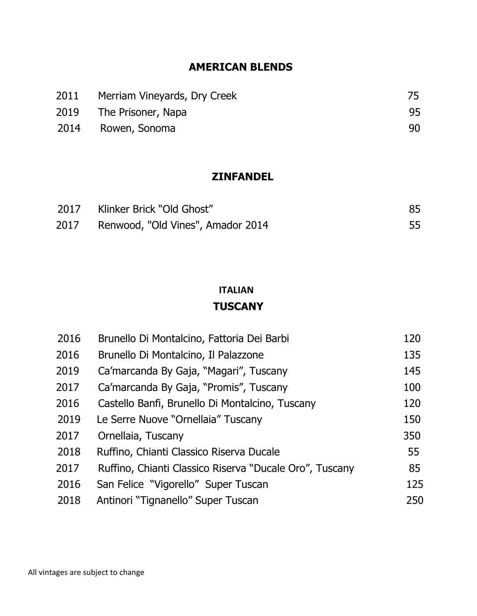### **AMERICAN BLENDS**

| 2011 | Merriam Vineyards, Dry Creek |    |
|------|------------------------------|----|
|      | 2019 The Prisoner, Napa      | 95 |
|      | 2014 Rowen, Sonoma           | 90 |

### **ZINFANDEL**

| 2017 Klinker Brick "Old Ghost"    |  |
|-----------------------------------|--|
| Renwood, "Old Vines", Amador 2014 |  |

### **ITALIAN TUSCANY**

| 2016 | Brunello Di Montalcino, Fattoria Dei Barbi              | 120 |
|------|---------------------------------------------------------|-----|
| 2016 | Brunello Di Montalcino, Il Palazzone                    | 135 |
| 2019 | Ca'marcanda By Gaja, "Magari", Tuscany                  | 145 |
| 2017 | Ca'marcanda By Gaja, "Promis", Tuscany                  | 100 |
| 2016 | Castello Banfi, Brunello Di Montalcino, Tuscany         | 120 |
| 2019 | Le Serre Nuove "Ornellaia" Tuscany                      | 150 |
| 2017 | Ornellaia, Tuscany                                      | 350 |
| 2018 | Ruffino, Chianti Classico Riserva Ducale                | 55  |
| 2017 | Ruffino, Chianti Classico Riserva "Ducale Oro", Tuscany | 85  |
| 2016 | San Felice "Vigorello" Super Tuscan                     | 125 |
| 2018 | Antinori "Tignanello" Super Tuscan                      | 250 |